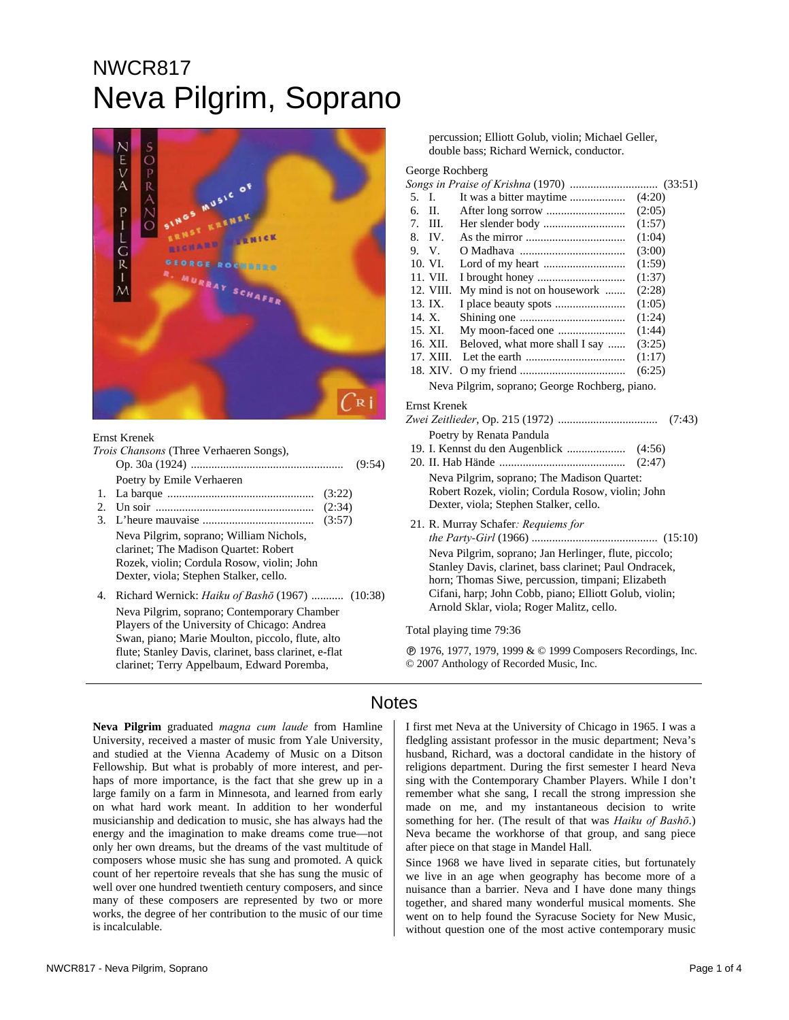# NWCR817 Neva Pilgrim, Soprano



#### Ernst Krenek

|               | Trois Chansons (Three Verhaeren Songs),<br>(9:54)                                                                                                                        |
|---------------|--------------------------------------------------------------------------------------------------------------------------------------------------------------------------|
| $\mathcal{D}$ | Poetry by Emile Verhaeren<br>(3:22)<br>(2:34)<br>(3:57)                                                                                                                  |
|               | Neva Pilgrim, soprano; William Nichols,<br>clarinet; The Madison Quartet: Robert<br>Rozek, violin; Cordula Rosow, violin; John<br>Dexter, viola; Stephen Stalker, cello. |
| 4.            | Richard Wernick: <i>Haiku of Bashō</i> (1967)  (10:38)<br>Neva Pilgrim, soprano; Contemporary Chamber                                                                    |

Players of the University of Chicago: Andrea Swan, piano; Marie Moulton, piccolo, flute, alto flute; Stanley Davis, clarinet, bass clarinet, e-flat clarinet; Terry Appelbaum, Edward Poremba,

percussion; Elliott Golub, violin; Michael Geller, double bass; Richard Wernick, conductor.

#### George Rochberg

| 5.                                             | I.                                                     |                                |        |  |  |
|------------------------------------------------|--------------------------------------------------------|--------------------------------|--------|--|--|
| 6.                                             | II.                                                    |                                | (2:05) |  |  |
| 7.                                             | HL.                                                    |                                | (1:57) |  |  |
| 8.                                             | IV.                                                    |                                | (1:04) |  |  |
|                                                | 9. V.                                                  |                                | (3:00) |  |  |
|                                                | 10. VI.                                                |                                | (1:59) |  |  |
|                                                | 11. VII.                                               |                                | (1:37) |  |  |
|                                                | 12. VIII.                                              | My mind is not on housework    | (2:28) |  |  |
|                                                | 13. IX.                                                | I place beauty spots           | (1:05) |  |  |
|                                                | 14. X.                                                 |                                | (1:24) |  |  |
|                                                | 15. XI.                                                | My moon-faced one              | (1:44) |  |  |
|                                                | 16. XII.                                               | Beloved, what more shall I say | (3:25) |  |  |
|                                                |                                                        |                                | (1:17) |  |  |
|                                                | 18. XIV.                                               |                                | (6:25) |  |  |
| Neva Pilgrim, soprano; George Rochberg, piano. |                                                        |                                |        |  |  |
| Ernst Krenek                                   |                                                        |                                |        |  |  |
| (7:43)                                         |                                                        |                                |        |  |  |
|                                                |                                                        | Poetry by Renata Pandula       |        |  |  |
|                                                |                                                        |                                |        |  |  |
|                                                | (2:47)                                                 |                                |        |  |  |
|                                                | Neva Pilgrim, soprano; The Madison Quartet:            |                                |        |  |  |
|                                                | Robert Rozek, violin; Cordula Rosow, violin; John      |                                |        |  |  |
| Dexter, viola; Stephen Stalker, cello.         |                                                        |                                |        |  |  |
| 21. R. Murray Schafer: Requiems for            |                                                        |                                |        |  |  |
|                                                |                                                        |                                |        |  |  |
|                                                | Neva Pilgrim, soprano; Jan Herlinger, flute, piccolo;  |                                |        |  |  |
|                                                | Stanley Davis, clarinet, bass clarinet; Paul Ondracek, |                                |        |  |  |
|                                                | horn; Thomas Siwe, percussion, timpani; Elizabeth      |                                |        |  |  |
|                                                |                                                        |                                |        |  |  |

Cifani, harp; John Cobb, piano; Elliott Golub, violin; Arnold Sklar, viola; Roger Malitz, cello.

Total playing time 79:36

Ê 1976, 1977, 1979, 1999 & © 1999 Composers Recordings, Inc. © 2007 Anthology of Recorded Music, Inc.

## **Notes**

**Neva Pilgrim** graduated *magna cum laude* from Hamline University, received a master of music from Yale University, and studied at the Vienna Academy of Music on a Ditson Fellowship. But what is probably of more interest, and perhaps of more importance, is the fact that she grew up in a large family on a farm in Minnesota, and learned from early on what hard work meant. In addition to her wonderful musicianship and dedication to music, she has always had the energy and the imagination to make dreams come true—not only her own dreams, but the dreams of the vast multitude of composers whose music she has sung and promoted. A quick count of her repertoire reveals that she has sung the music of well over one hundred twentieth century composers, and since many of these composers are represented by two or more works, the degree of her contribution to the music of our time is incalculable.

I first met Neva at the University of Chicago in 1965. I was a fledgling assistant professor in the music department; Neva's husband, Richard, was a doctoral candidate in the history of religions department. During the first semester I heard Neva sing with the Contemporary Chamber Players. While I don't remember what she sang, I recall the strong impression she made on me, and my instantaneous decision to write something for her. (The result of that was *Haiku of Bashō*.) Neva became the workhorse of that group, and sang piece after piece on that stage in Mandel Hall.

Since 1968 we have lived in separate cities, but fortunately we live in an age when geography has become more of a nuisance than a barrier. Neva and I have done many things together, and shared many wonderful musical moments. She went on to help found the Syracuse Society for New Music, without question one of the most active contemporary music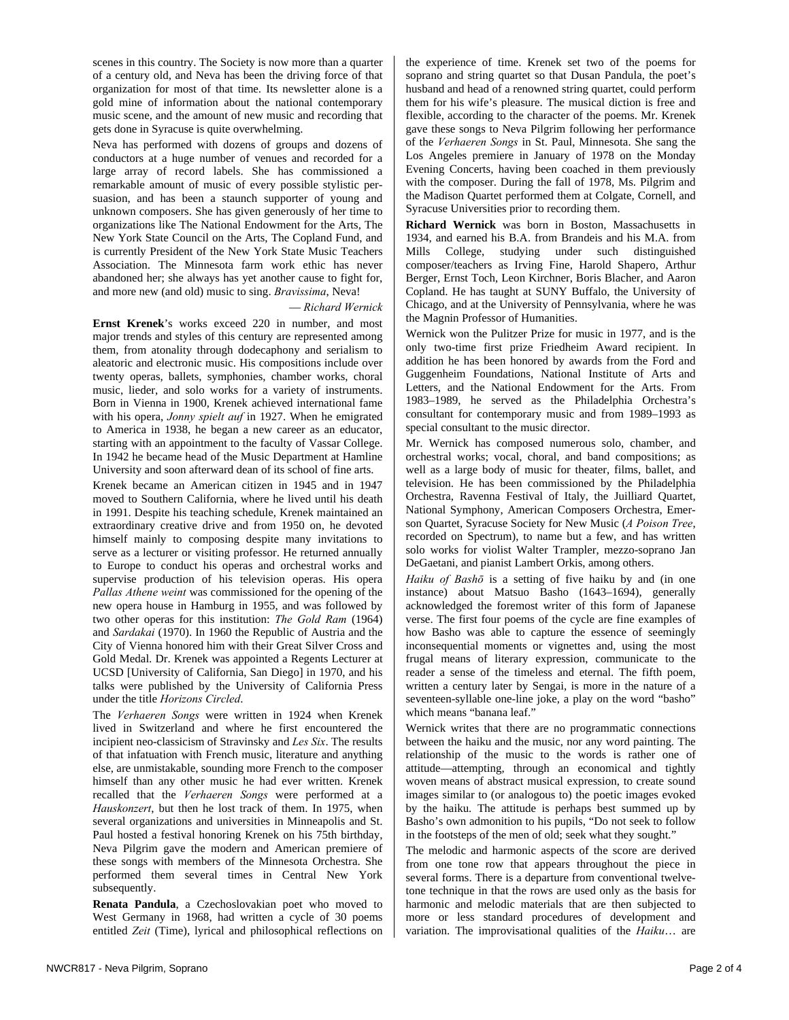scenes in this country. The Society is now more than a quarter of a century old, and Neva has been the driving force of that organization for most of that time. Its newsletter alone is a gold mine of information about the national contemporary music scene, and the amount of new music and recording that gets done in Syracuse is quite overwhelming.

Neva has performed with dozens of groups and dozens of conductors at a huge number of venues and recorded for a large array of record labels. She has commissioned a remarkable amount of music of every possible stylistic persuasion, and has been a staunch supporter of young and unknown composers. She has given generously of her time to organizations like The National Endowment for the Arts, The New York State Council on the Arts, The Copland Fund, and is currently President of the New York State Music Teachers Association. The Minnesota farm work ethic has never abandoned her; she always has yet another cause to fight for, and more new (and old) music to sing. *Bravissima*, Neva!

### — *Richard Wernick*

**Ernst Krenek**'s works exceed 220 in number, and most major trends and styles of this century are represented among them, from atonality through dodecaphony and serialism to aleatoric and electronic music. His compositions include over twenty operas, ballets, symphonies, chamber works, choral music, lieder, and solo works for a variety of instruments. Born in Vienna in 1900, Krenek achieved international fame with his opera, *Jonny spielt auf* in 1927. When he emigrated to America in 1938, he began a new career as an educator, starting with an appointment to the faculty of Vassar College. In 1942 he became head of the Music Department at Hamline University and soon afterward dean of its school of fine arts.

Krenek became an American citizen in 1945 and in 1947 moved to Southern California, where he lived until his death in 1991. Despite his teaching schedule, Krenek maintained an extraordinary creative drive and from 1950 on, he devoted himself mainly to composing despite many invitations to serve as a lecturer or visiting professor. He returned annually to Europe to conduct his operas and orchestral works and supervise production of his television operas. His opera *Pallas Athene weint* was commissioned for the opening of the new opera house in Hamburg in 1955, and was followed by two other operas for this institution: *The Gold Ram* (1964) and *Sardakai* (1970). In 1960 the Republic of Austria and the City of Vienna honored him with their Great Silver Cross and Gold Medal. Dr. Krenek was appointed a Regents Lecturer at UCSD [University of California, San Diego] in 1970, and his talks were published by the University of California Press under the title *Horizons Circled*.

The *Verhaeren Songs* were written in 1924 when Krenek lived in Switzerland and where he first encountered the incipient neo-classicism of Stravinsky and *Les Six*. The results of that infatuation with French music, literature and anything else, are unmistakable, sounding more French to the composer himself than any other music he had ever written. Krenek recalled that the *Verhaeren Songs* were performed at a *Hauskonzert*, but then he lost track of them. In 1975, when several organizations and universities in Minneapolis and St. Paul hosted a festival honoring Krenek on his 75th birthday, Neva Pilgrim gave the modern and American premiere of these songs with members of the Minnesota Orchestra. She performed them several times in Central New York subsequently.

**Renata Pandula**, a Czechoslovakian poet who moved to West Germany in 1968, had written a cycle of 30 poems entitled *Zeit* (Time), lyrical and philosophical reflections on the experience of time. Krenek set two of the poems for soprano and string quartet so that Dusan Pandula, the poet's husband and head of a renowned string quartet, could perform them for his wife's pleasure. The musical diction is free and flexible, according to the character of the poems. Mr. Krenek gave these songs to Neva Pilgrim following her performance of the *Verhaeren Songs* in St. Paul, Minnesota. She sang the Los Angeles premiere in January of 1978 on the Monday Evening Concerts, having been coached in them previously with the composer. During the fall of 1978, Ms. Pilgrim and the Madison Quartet performed them at Colgate, Cornell, and Syracuse Universities prior to recording them.

**Richard Wernick** was born in Boston, Massachusetts in 1934, and earned his B.A. from Brandeis and his M.A. from Mills College, studying under such distinguished composer/teachers as Irving Fine, Harold Shapero, Arthur Berger, Ernst Toch, Leon Kirchner, Boris Blacher, and Aaron Copland. He has taught at SUNY Buffalo, the University of Chicago, and at the University of Pennsylvania, where he was the Magnin Professor of Humanities.

Wernick won the Pulitzer Prize for music in 1977, and is the only two-time first prize Friedheim Award recipient. In addition he has been honored by awards from the Ford and Guggenheim Foundations, National Institute of Arts and Letters, and the National Endowment for the Arts. From 1983–1989, he served as the Philadelphia Orchestra's consultant for contemporary music and from 1989–1993 as special consultant to the music director.

Mr. Wernick has composed numerous solo, chamber, and orchestral works; vocal, choral, and band compositions; as well as a large body of music for theater, films, ballet, and television. He has been commissioned by the Philadelphia Orchestra, Ravenna Festival of Italy, the Juilliard Quartet, National Symphony, American Composers Orchestra, Emerson Quartet, Syracuse Society for New Music (*A Poison Tree*, recorded on Spectrum), to name but a few, and has written solo works for violist Walter Trampler, mezzo-soprano Jan DeGaetani, and pianist Lambert Orkis, among others.

*Haiku of Bashō* is a setting of five haiku by and (in one instance) about Matsuo Basho (1643–1694), generally acknowledged the foremost writer of this form of Japanese verse. The first four poems of the cycle are fine examples of how Basho was able to capture the essence of seemingly inconsequential moments or vignettes and, using the most frugal means of literary expression, communicate to the reader a sense of the timeless and eternal. The fifth poem, written a century later by Sengai, is more in the nature of a seventeen-syllable one-line joke, a play on the word "basho" which means "banana leaf."

Wernick writes that there are no programmatic connections between the haiku and the music, nor any word painting. The relationship of the music to the words is rather one of attitude—attempting, through an economical and tightly woven means of abstract musical expression, to create sound images similar to (or analogous to) the poetic images evoked by the haiku. The attitude is perhaps best summed up by Basho's own admonition to his pupils, "Do not seek to follow in the footsteps of the men of old; seek what they sought."

The melodic and harmonic aspects of the score are derived from one tone row that appears throughout the piece in several forms. There is a departure from conventional twelvetone technique in that the rows are used only as the basis for harmonic and melodic materials that are then subjected to more or less standard procedures of development and variation. The improvisational qualities of the *Haiku*… are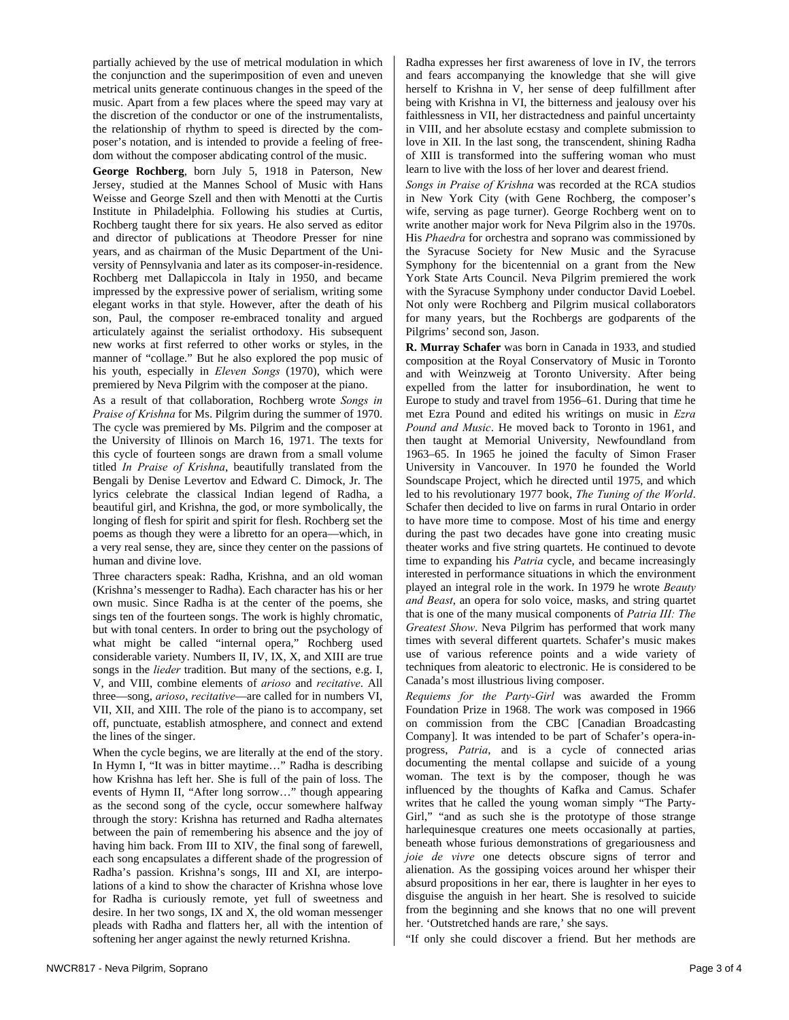partially achieved by the use of metrical modulation in which the conjunction and the superimposition of even and uneven metrical units generate continuous changes in the speed of the music. Apart from a few places where the speed may vary at the discretion of the conductor or one of the instrumentalists, the relationship of rhythm to speed is directed by the composer's notation, and is intended to provide a feeling of freedom without the composer abdicating control of the music.

**George Rochberg**, born July 5, 1918 in Paterson, New Jersey, studied at the Mannes School of Music with Hans Weisse and George Szell and then with Menotti at the Curtis Institute in Philadelphia. Following his studies at Curtis, Rochberg taught there for six years. He also served as editor and director of publications at Theodore Presser for nine years, and as chairman of the Music Department of the University of Pennsylvania and later as its composer-in-residence. Rochberg met Dallapiccola in Italy in 1950, and became impressed by the expressive power of serialism, writing some elegant works in that style. However, after the death of his son, Paul, the composer re-embraced tonality and argued articulately against the serialist orthodoxy. His subsequent new works at first referred to other works or styles, in the manner of "collage." But he also explored the pop music of his youth, especially in *Eleven Songs* (1970), which were premiered by Neva Pilgrim with the composer at the piano.

As a result of that collaboration, Rochberg wrote *Songs in Praise of Krishna* for Ms. Pilgrim during the summer of 1970. The cycle was premiered by Ms. Pilgrim and the composer at the University of Illinois on March 16, 1971. The texts for this cycle of fourteen songs are drawn from a small volume titled *In Praise of Krishna*, beautifully translated from the Bengali by Denise Levertov and Edward C. Dimock, Jr. The lyrics celebrate the classical Indian legend of Radha, a beautiful girl, and Krishna, the god, or more symbolically, the longing of flesh for spirit and spirit for flesh. Rochberg set the poems as though they were a libretto for an opera—which, in a very real sense, they are, since they center on the passions of human and divine love.

Three characters speak: Radha, Krishna, and an old woman (Krishna's messenger to Radha). Each character has his or her own music. Since Radha is at the center of the poems, she sings ten of the fourteen songs. The work is highly chromatic, but with tonal centers. In order to bring out the psychology of what might be called "internal opera," Rochberg used considerable variety. Numbers II, IV, IX, X, and XIII are true songs in the *lieder* tradition. But many of the sections, e.g. I, V, and VIII, combine elements of *arioso* and *recitative*. All three—song, *arioso*, *recitative*—are called for in numbers VI, VII, XII, and XIII. The role of the piano is to accompany, set off, punctuate, establish atmosphere, and connect and extend the lines of the singer.

When the cycle begins, we are literally at the end of the story. In Hymn I, "It was in bitter maytime…" Radha is describing how Krishna has left her. She is full of the pain of loss. The events of Hymn II, "After long sorrow…" though appearing as the second song of the cycle, occur somewhere halfway through the story: Krishna has returned and Radha alternates between the pain of remembering his absence and the joy of having him back. From III to XIV, the final song of farewell, each song encapsulates a different shade of the progression of Radha's passion. Krishna's songs, III and XI, are interpolations of a kind to show the character of Krishna whose love for Radha is curiously remote, yet full of sweetness and desire. In her two songs, IX and X, the old woman messenger pleads with Radha and flatters her, all with the intention of softening her anger against the newly returned Krishna.

Radha expresses her first awareness of love in IV, the terrors and fears accompanying the knowledge that she will give herself to Krishna in V, her sense of deep fulfillment after being with Krishna in VI, the bitterness and jealousy over his faithlessness in VII, her distractedness and painful uncertainty in VIII, and her absolute ecstasy and complete submission to love in XII. In the last song, the transcendent, shining Radha of XIII is transformed into the suffering woman who must learn to live with the loss of her lover and dearest friend.

*Songs in Praise of Krishna* was recorded at the RCA studios in New York City (with Gene Rochberg, the composer's wife, serving as page turner). George Rochberg went on to write another major work for Neva Pilgrim also in the 1970s. His *Phaedra* for orchestra and soprano was commissioned by the Syracuse Society for New Music and the Syracuse Symphony for the bicentennial on a grant from the New York State Arts Council. Neva Pilgrim premiered the work with the Syracuse Symphony under conductor David Loebel. Not only were Rochberg and Pilgrim musical collaborators for many years, but the Rochbergs are godparents of the Pilgrims' second son, Jason.

**R. Murray Schafer** was born in Canada in 1933, and studied composition at the Royal Conservatory of Music in Toronto and with Weinzweig at Toronto University. After being expelled from the latter for insubordination, he went to Europe to study and travel from 1956–61. During that time he met Ezra Pound and edited his writings on music in *Ezra Pound and Music*. He moved back to Toronto in 1961, and then taught at Memorial University, Newfoundland from 1963–65. In 1965 he joined the faculty of Simon Fraser University in Vancouver. In 1970 he founded the World Soundscape Project, which he directed until 1975, and which led to his revolutionary 1977 book, *The Tuning of the World*. Schafer then decided to live on farms in rural Ontario in order to have more time to compose. Most of his time and energy during the past two decades have gone into creating music theater works and five string quartets. He continued to devote time to expanding his *Patria* cycle, and became increasingly interested in performance situations in which the environment played an integral role in the work. In 1979 he wrote *Beauty and Beast*, an opera for solo voice, masks, and string quartet that is one of the many musical components of *Patria III: The Greatest Show*. Neva Pilgrim has performed that work many times with several different quartets. Schafer's music makes use of various reference points and a wide variety of techniques from aleatoric to electronic. He is considered to be Canada's most illustrious living composer.

*Requiems for the Party-Girl* was awarded the Fromm Foundation Prize in 1968. The work was composed in 1966 on commission from the CBC [Canadian Broadcasting Company]. It was intended to be part of Schafer's opera-inprogress, *Patria*, and is a cycle of connected arias documenting the mental collapse and suicide of a young woman. The text is by the composer, though he was influenced by the thoughts of Kafka and Camus. Schafer writes that he called the young woman simply "The Party-Girl," "and as such she is the prototype of those strange harlequinesque creatures one meets occasionally at parties, beneath whose furious demonstrations of gregariousness and *joie de vivre* one detects obscure signs of terror and alienation. As the gossiping voices around her whisper their absurd propositions in her ear, there is laughter in her eyes to disguise the anguish in her heart. She is resolved to suicide from the beginning and she knows that no one will prevent her. 'Outstretched hands are rare,' she says.

"If only she could discover a friend. But her methods are